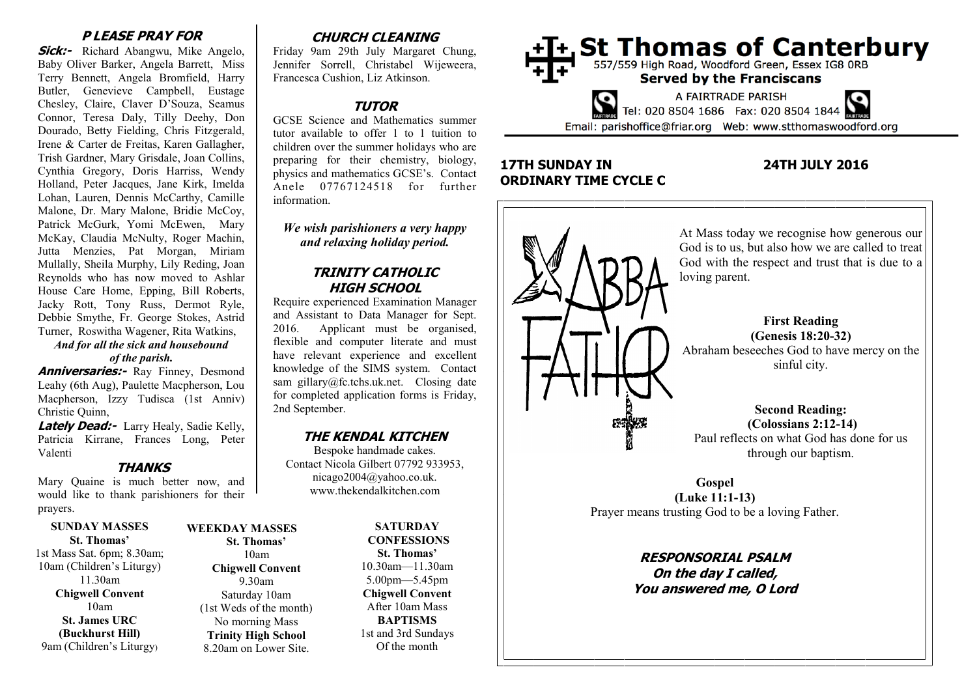#### **P LEASE PRAY FOR**

**Sick:-** Richard Abangwu, Mike Angelo, Baby Oliver Barker, Angela Barrett, Miss Terry Bennett, Angela Bromfield, Harry Butler, Genevieve Campbell, Eustage Chesley, Claire, Claver D'Souza, Seamus Connor, Teresa Daly, Tilly Deehy, Don Dourado, Betty Fielding, Chris Fitzgerald, Irene & Carter de Freitas, Karen Gallagher, Trish Gardner, Mary Grisdale, Joan Collins, Cynthia Gregory, Doris Harriss, Wendy Holland, Peter Jacques, Jane Kirk, Imelda Lohan, Lauren, Dennis McCarthy, Camille Malone, Dr. Mary Malone, Bridie McCoy, Patrick McGurk, Yomi McEwen, Mary McKay, Claudia McNulty, Roger Machin, Jutta Menzies, Pat Morgan, Miriam Mullally, Sheila Murphy, Lily Reding, Joan Reynolds who has now moved to Ashlar House Care Home, Epping, Bill Roberts, Jacky Rott, Tony Russ, Dermot Ryle, Debbie Smythe, Fr. George Stokes, Astrid Turner, Roswitha Wagener, Rita Watkins,

#### *And for all the sick and housebound of the parish.*

**Anniversaries:-** Ray Finney, Desmond Leahy (6th Aug), Paulette Macpherson, Lou Macpherson, Izzy Tudisca (1st Anniv) Christie Quinn,

**Lately Dead:-** Larry Healy, Sadie Kelly, Patricia Kirrane, Frances Long, Peter Valenti

#### **THANKS**

Mary Quaine is much better now, and would like to thank parishioners for their prayers.

#### **SUNDAY MASSES St. Thomas'**

1st Mass Sat. 6pm; 8.30am; 10am (Children's Liturgy) 11.30am **Chigwell Convent** 10am **St. James URC (Buckhurst Hill)** 9am (Children's Liturgy)

## **WEEKDAY MASSES St. Thomas'** 10am **Chigwell Convent** 9.30am

Saturday 10am (1st Weds of the month) No morning Mass **Trinity High School** 8.20am on Lower Site.

# **CHURCH CLEANING**

Friday 9am 29th July Margaret Chung, Jennifer Sorrell, Christabel Wijeweera, Francesca Cushion, Liz Atkinson.

# **TUTOR**

GCSE Science and Mathematics summer tutor available to offer 1 to 1 tuition to children over the summer holidays who are preparing for their chemistry, biology, physics and mathematics GCSE's. Contact Anele 07767124518 for further information.

#### *We wish parishioners a very happy and relaxing holiday period.*

## **TRINITY CATHOLIC HIGH SCHOOL**

Require experienced Examination Manager and Assistant to Data Manager for Sept. 2016. Applicant must be organised, flexible and computer literate and must have relevant experience and excellent knowledge of the SIMS system. Contact sam gillary@fc.tchs.uk.net. Closing date for completed application forms is Friday, 2nd September.

# **THE KENDAL KITCHEN**

Bespoke handmade cakes. Contact Nicola Gilbert 07792 933953, nicago2004@yahoo.co.uk. www.thekendalkitchen.com

> **SATURDAY CONFESSIONS St. Thomas'** 10.30am—11.30am 5.00pm—5.45pm **Chigwell Convent** After 10am Mass **BAPTISMS** 1st and 3rd Sundays Of the month



# **17TH SUNDAY IN 24TH JULY 2016 ORDINARY TIME CYCLE C**



**On the day I called, You answered me, O Lord**